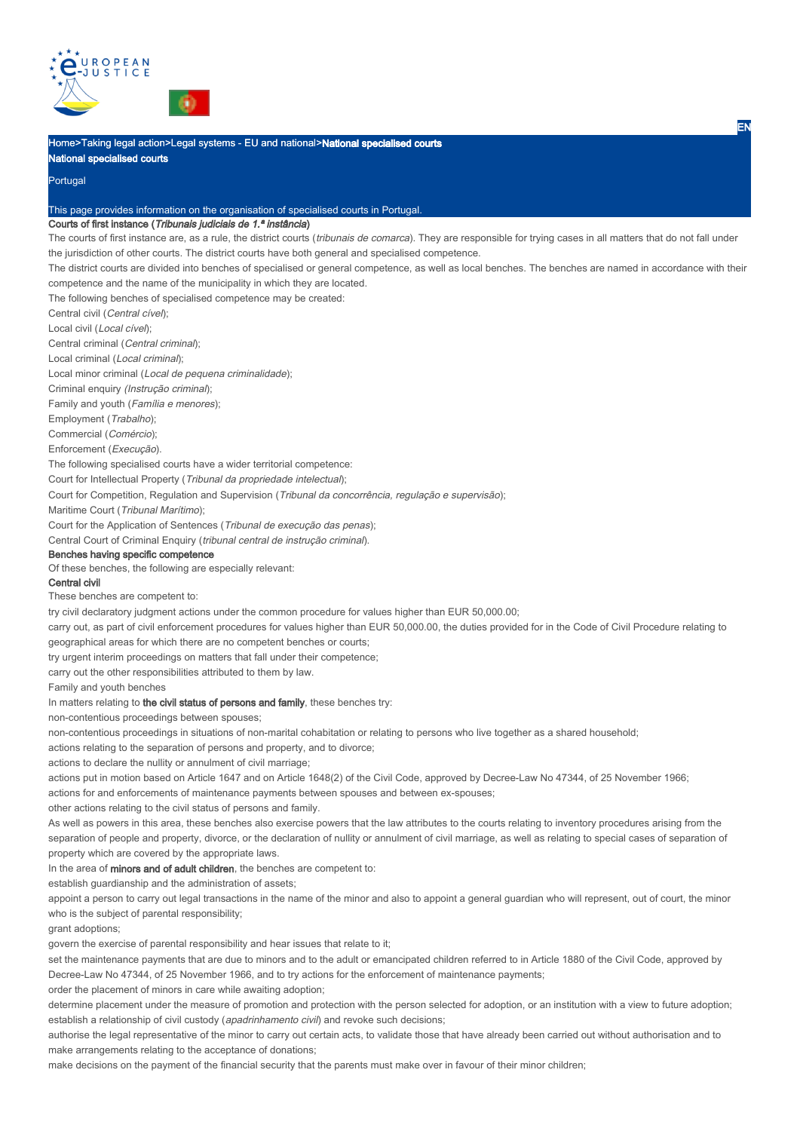



Home>Taking legal action>Legal systems - EU and national>National specialised courts

National specialised courts

Portugal

#### This page provides information on the organisation of specialised courts in Portugal.

## Courts of first instance (Tribunais judiciais de 1.ª instância)

The courts of first instance are, as a rule, the district courts (*tribunais de comarca*). They are responsible for trying cases in all matters that do not fall under the jurisdiction of other courts. The district courts have both general and specialised competence.

The district courts are divided into benches of specialised or general competence, as well as local benches. The benches are named in accordance with their competence and the name of the municipality in which they are located.

The following benches of specialised competence may be created:

Central civil (Central cível);

Local civil (Local cível);

Central criminal (Central criminal);

Local criminal (Local criminal);

Local minor criminal (Local de pequena criminalidade);

Criminal enquiry (Instrução criminal);

Family and youth (Família e menores);

Employment (Trabalho);

Commercial (Comércio);

Enforcement (Execução).

The following specialised courts have a wider territorial competence:

Court for Intellectual Property (Tribunal da propriedade intelectual);

Court for Competition, Regulation and Supervision (Tribunal da concorrência, regulação e supervisão);

Maritime Court (Tribunal Marítimo);

Court for the Application of Sentences (Tribunal de execução das penas);

Central Court of Criminal Enquiry (tribunal central de instrução criminal).

## Benches having specific competence

Of these benches, the following are especially relevant:

# Central civil

These benches are competent to:

try civil declaratory judgment actions under the common procedure for values higher than EUR 50,000.00;

carry out, as part of civil enforcement procedures for values higher than EUR 50,000.00, the duties provided for in the Code of Civil Procedure relating to geographical areas for which there are no competent benches or courts;

try urgent interim proceedings on matters that fall under their competence;

carry out the other responsibilities attributed to them by law.

Family and youth benches

In matters relating to the civil status of persons and family, these benches try:

non-contentious proceedings between spouses;

non-contentious proceedings in situations of non-marital cohabitation or relating to persons who live together as a shared household;

actions relating to the separation of persons and property, and to divorce;

actions to declare the nullity or annulment of civil marriage;

actions put in motion based on Article 1647 and on Article 1648(2) of the Civil Code, approved by Decree-Law No 47344, of 25 November 1966;

actions for and enforcements of maintenance payments between spouses and between ex-spouses:

other actions relating to the civil status of persons and family.

As well as powers in this area, these benches also exercise powers that the law attributes to the courts relating to inventory procedures arising from the separation of people and property, divorce, or the declaration of nullity or annulment of civil marriage, as well as relating to special cases of separation of property which are covered by the appropriate laws.

In the area of **minors and of adult children**, the benches are competent to:

establish guardianship and the administration of assets;

appoint a person to carry out legal transactions in the name of the minor and also to appoint a general guardian who will represent, out of court, the minor who is the subject of parental responsibility;

grant adoptions;

govern the exercise of parental responsibility and hear issues that relate to it;

set the maintenance payments that are due to minors and to the adult or emancipated children referred to in Article 1880 of the Civil Code, approved by Decree-Law No 47344, of 25 November 1966, and to try actions for the enforcement of maintenance payments;

order the placement of minors in care while awaiting adoption;

determine placement under the measure of promotion and protection with the person selected for adoption, or an institution with a view to future adoption; establish a relationship of civil custody (apadrinhamento civil) and revoke such decisions;

authorise the legal representative of the minor to carry out certain acts, to validate those that have already been carried out without authorisation and to make arrangements relating to the acceptance of donations;

make decisions on the payment of the financial security that the parents must make over in favour of their minor children;

EN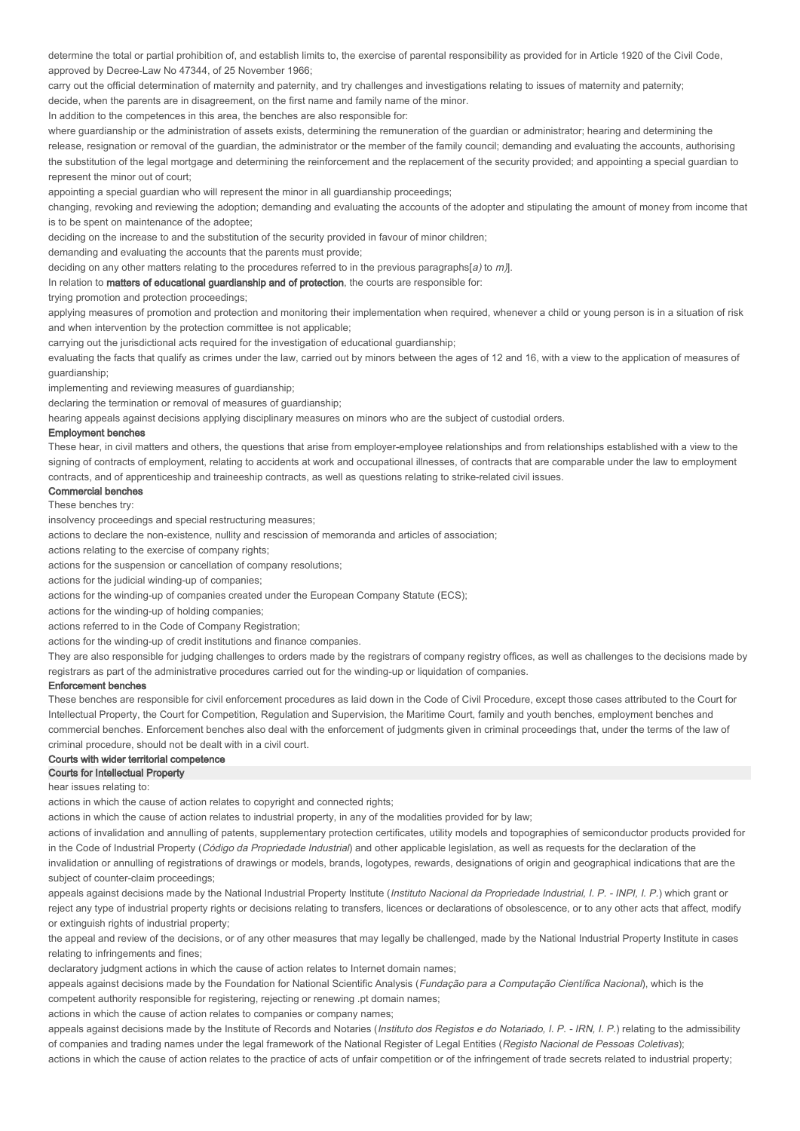determine the total or partial prohibition of, and establish limits to, the exercise of parental responsibility as provided for in Article 1920 of the Civil Code, approved by Decree-Law No 47344, of 25 November 1966;

carry out the official determination of maternity and paternity, and try challenges and investigations relating to issues of maternity and paternity;

decide, when the parents are in disagreement, on the first name and family name of the minor.

In addition to the competences in this area, the benches are also responsible for:

where quardianship or the administration of assets exists, determining the remuneration of the quardian or administrator; hearing and determining the release, resignation or removal of the guardian, the administrator or the member of the family council; demanding and evaluating the accounts, authorising the substitution of the legal mortgage and determining the reinforcement and the replacement of the security provided; and appointing a special guardian to represent the minor out of court;

appointing a special guardian who will represent the minor in all guardianship proceedings;

changing, revoking and reviewing the adoption; demanding and evaluating the accounts of the adopter and stipulating the amount of money from income that is to be spent on maintenance of the adoptee;

deciding on the increase to and the substitution of the security provided in favour of minor children;

demanding and evaluating the accounts that the parents must provide;

deciding on any other matters relating to the procedures referred to in the previous paragraphs[a) to  $m$ ].

In relation to matters of educational guardianship and of protection, the courts are responsible for:

trying promotion and protection proceedings;

applying measures of promotion and protection and monitoring their implementation when required, whenever a child or young person is in a situation of risk and when intervention by the protection committee is not applicable;

carrying out the jurisdictional acts required for the investigation of educational guardianship;

evaluating the facts that qualify as crimes under the law, carried out by minors between the ages of 12 and 16, with a view to the application of measures of guardianship;

implementing and reviewing measures of guardianship;

declaring the termination or removal of measures of guardianship;

hearing appeals against decisions applying disciplinary measures on minors who are the subject of custodial orders.

## Employment benches

These hear, in civil matters and others, the questions that arise from employer-employee relationships and from relationships established with a view to the signing of contracts of employment, relating to accidents at work and occupational illnesses, of contracts that are comparable under the law to employment contracts, and of apprenticeship and traineeship contracts, as well as questions relating to strike-related civil issues.

Commercial benches

#### These benches try:

insolvency proceedings and special restructuring measures;

actions to declare the non-existence, nullity and rescission of memoranda and articles of association;

actions relating to the exercise of company rights;

actions for the suspension or cancellation of company resolutions;

actions for the judicial winding-up of companies;

actions for the winding-up of companies created under the European Company Statute (ECS);

actions for the winding-up of holding companies;

actions referred to in the Code of Company Registration;

actions for the winding-up of credit institutions and finance companies.

They are also responsible for judging challenges to orders made by the registrars of company registry offices, as well as challenges to the decisions made by registrars as part of the administrative procedures carried out for the winding-up or liquidation of companies.

#### Enforcement benches

These benches are responsible for civil enforcement procedures as laid down in the Code of Civil Procedure, except those cases attributed to the Court for Intellectual Property, the Court for Competition, Regulation and Supervision, the Maritime Court, family and youth benches, employment benches and commercial benches. Enforcement benches also deal with the enforcement of judgments given in criminal proceedings that, under the terms of the law of criminal procedure, should not be dealt with in a civil court.

## Courts with wider territorial competence

## Courts for Intellectual Property

hear issues relating to:

actions in which the cause of action relates to copyright and connected rights;

actions in which the cause of action relates to industrial property, in any of the modalities provided for by law;

actions of invalidation and annulling of patents, supplementary protection certificates, utility models and topographies of semiconductor products provided for in the Code of Industrial Property (Código da Propriedade Industrial) and other applicable legislation, as well as requests for the declaration of the invalidation or annulling of registrations of drawings or models, brands, logotypes, rewards, designations of origin and geographical indications that are the

subject of counter-claim proceedings;

appeals against decisions made by the National Industrial Property Institute (*Instituto Nacional da Propriedade Industrial, I. P. - INPI, I. P.*) which grant or reject any type of industrial property rights or decisions relating to transfers, licences or declarations of obsolescence, or to any other acts that affect, modify or extinguish rights of industrial property;

the appeal and review of the decisions, or of any other measures that may legally be challenged, made by the National Industrial Property Institute in cases relating to infringements and fines;

declaratory judgment actions in which the cause of action relates to Internet domain names;

appeals against decisions made by the Foundation for National Scientific Analysis (*Fundação para a Computação Científica Nacional*), which is the competent authority responsible for registering, rejecting or renewing .pt domain names;

actions in which the cause of action relates to companies or company names;

appeals against decisions made by the Institute of Records and Notaries (*Instituto dos Registos e do Notariado, I. P. - IRN, I. P.*) relating to the admissibility of companies and trading names under the legal framework of the National Register of Legal Entities (Registo Nacional de Pessoas Coletivas);

actions in which the cause of action relates to the practice of acts of unfair competition or of the infringement of trade secrets related to industrial property;